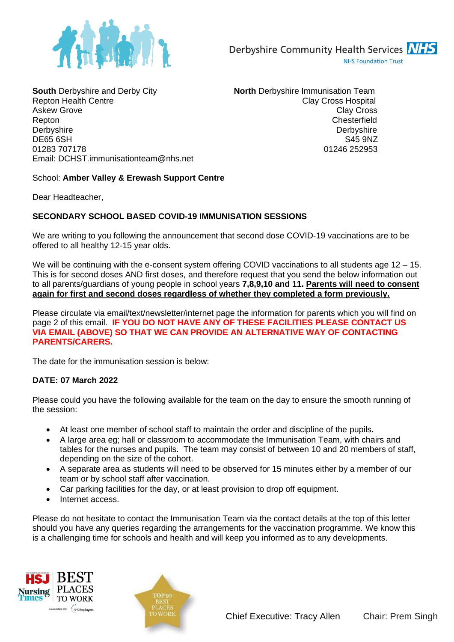

**South** Derbyshire and Derby City **North** Derbyshire Immunisation Team Repton Health Centre Clay Cross Hospital Centre Clay Cross Hospital Askew Grove **Clay Cross** Clay Cross **Clay Cross** Repton Chesterfield<br>Derbyshire Chesterfield<br>Derbyshire Chesterfield DE65 6SH S45 9NZ 01283 707178 01246 252953 Email: DCHST.immunisationteam@nhs.net

Derbyshire

## School: **Amber Valley & Erewash Support Centre**

Dear Headteacher,

## **SECONDARY SCHOOL BASED COVID-19 IMMUNISATION SESSIONS**

We are writing to you following the announcement that second dose COVID-19 vaccinations are to be offered to all healthy 12-15 year olds.

We will be continuing with the e-consent system offering COVID vaccinations to all students age 12 – 15. This is for second doses AND first doses, and therefore request that you send the below information out to all parents/guardians of young people in school years **7,8,9,10 and 11. Parents will need to consent again for first and second doses regardless of whether they completed a form previously.**

Please circulate via email/text/newsletter/internet page the information for parents which you will find on page 2 of this email. **IF YOU DO NOT HAVE ANY OF THESE FACILITIES PLEASE CONTACT US VIA EMAIL (ABOVE) SO THAT WE CAN PROVIDE AN ALTERNATIVE WAY OF CONTACTING PARENTS/CARERS.**

The date for the immunisation session is below:

## **DATE: 07 March 2022**

Please could you have the following available for the team on the day to ensure the smooth running of the session:

- At least one member of school staff to maintain the order and discipline of the pupils**.**
- A large area eg; hall or classroom to accommodate the Immunisation Team, with chairs and tables for the nurses and pupils. The team may consist of between 10 and 20 members of staff, depending on the size of the cohort.
- A separate area as students will need to be observed for 15 minutes either by a member of our team or by school staff after vaccination.
- Car parking facilities for the day, or at least provision to drop off equipment.
- Internet access

Please do not hesitate to contact the Immunisation Team via the contact details at the top of this letter should you have any queries regarding the arrangements for the vaccination programme. We know this is a challenging time for schools and health and will keep you informed as to any developments.